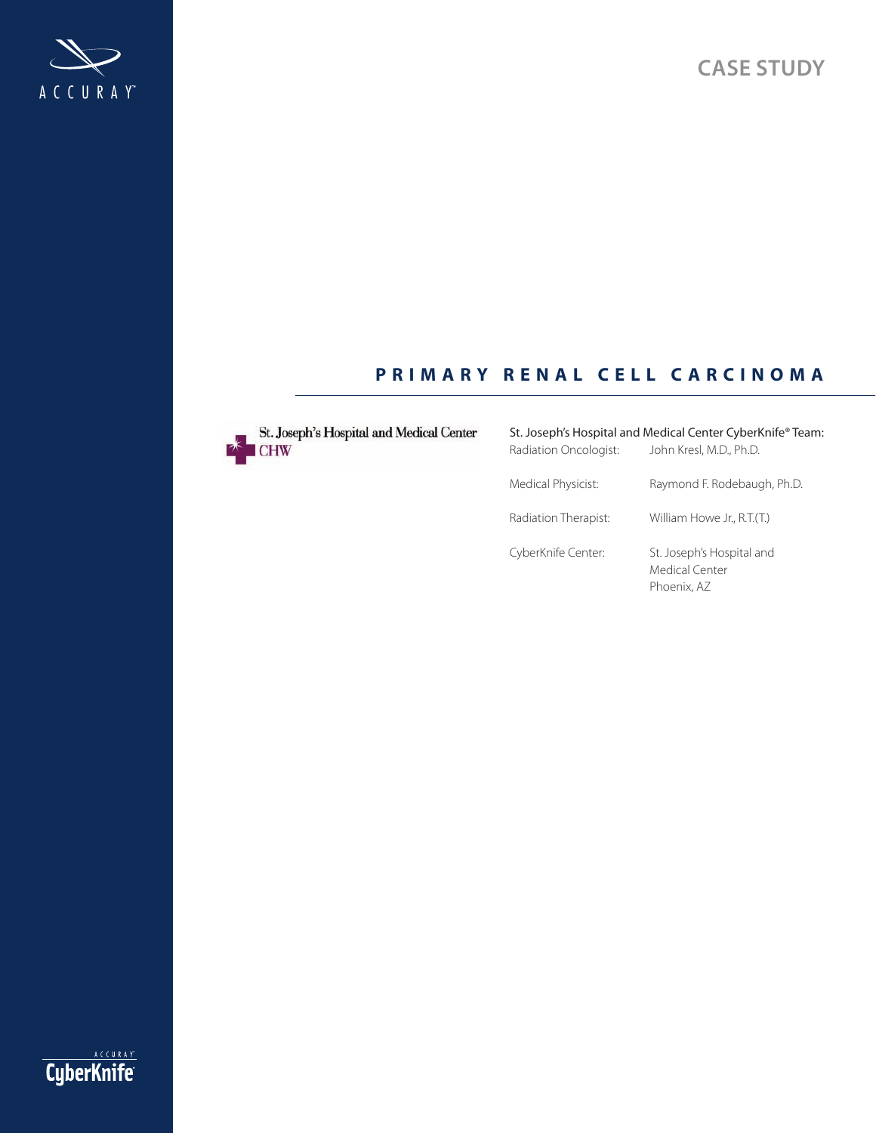



## **PRIMARY RENAL CELL CARCINOMA**



St. Joseph's Hospital and Medical Center

# St. Joseph's Hospital and Medical Center CyberKnife® Team: Radiation Oncologist: John Kresl, M.D., Ph.D. Medical Physicist: Raymond F. Rodebaugh, Ph.D. Radiation Therapist: William Howe Jr., R.T.(T.) CyberKnife Center: St. Joseph's Hospital and Medical Center Phoenix, AZ

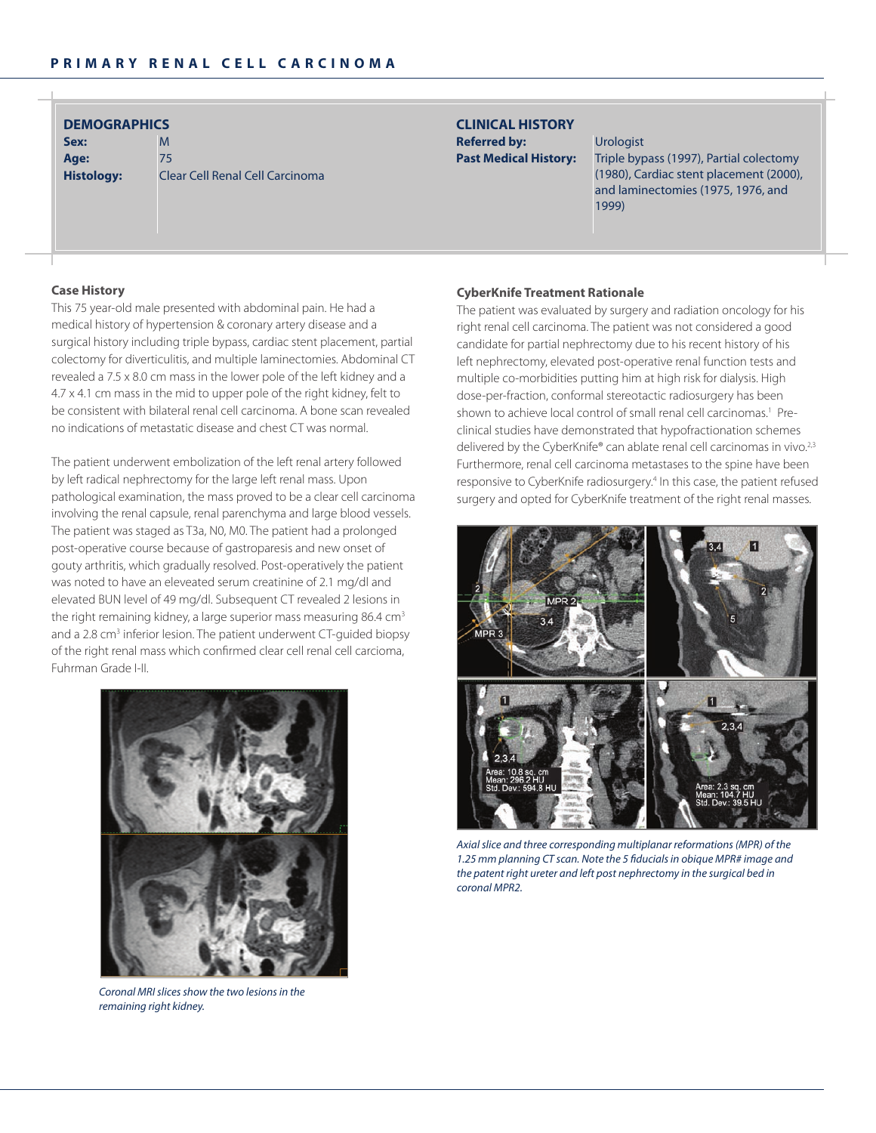| <b>DEMOGRAPHICS</b> |  |  |
|---------------------|--|--|
|                     |  |  |

**Sex:** M **age:** 75

**Histology:** Clear Cell Renal Cell Carcinoma

### **clinical HiSTory Referred by:** Urologist

Past Medical History: Triple bypass (1997), Partial colectomy (1980), Cardiac stent placement (2000), and laminectomies (1975, 1976, and 1999)

### **case History**

This 75 year-old male presented with abdominal pain. He had a medical history of hypertension & coronary artery disease and a surgical history including triple bypass, cardiac stent placement, partial colectomy for diverticulitis, and multiple laminectomies. Abdominal CT revealed a 7.5 x 8.0 cm mass in the lower pole of the left kidney and a 4.7 x 4.1 cm mass in the mid to upper pole of the right kidney, felt to be consistent with bilateral renal cell carcinoma. A bone scan revealed no indications of metastatic disease and chest CT was normal.

The patient underwent embolization of the left renal artery followed by left radical nephrectomy for the large left renal mass. Upon pathological examination, the mass proved to be a clear cell carcinoma involving the renal capsule, renal parenchyma and large blood vessels. The patient was staged as T3a, N0, M0. The patient had a prolonged post-operative course because of gastroparesis and new onset of gouty arthritis, which gradually resolved. Post-operatively the patient was noted to have an eleveated serum creatinine of 2.1 mg/dl and elevated BUN level of 49 mg/dl. Subsequent CT revealed 2 lesions in the right remaining kidney, a large superior mass measuring 86.4 cm<sup>3</sup> and a 2.8 cm<sup>3</sup> inferior lesion. The patient underwent CT-guided biopsy of the right renal mass which confirmed clear cell renal cell carcioma, Fuhrman Grade I-II.



*Coronal MRI slices show the two lesions in the remaining right kidney.*

#### **CyberKnife Treatment Rationale**

The patient was evaluated by surgery and radiation oncology for his right renal cell carcinoma. The patient was not considered a good candidate for partial nephrectomy due to his recent history of his left nephrectomy, elevated post-operative renal function tests and multiple co-morbidities putting him at high risk for dialysis. High dose-per-fraction, conformal stereotactic radiosurgery has been shown to achieve local control of small renal cell carcinomas.<sup>1</sup> Preclinical studies have demonstrated that hypofractionation schemes delivered by the CyberKnife® can ablate renal cell carcinomas in vivo.<sup>2,3</sup> Furthermore, renal cell carcinoma metastases to the spine have been responsive to CyberKnife radiosurgery.<sup>4</sup> In this case, the patient refused surgery and opted for CyberKnife treatment of the right renal masses.



*Axial slice and three corresponding multiplanar reformations (MPR) of the 1.25 mm planning CT scan. Note the 5 fiducials in obique MPR# image and the patent right ureter and left post nephrectomy in the surgical bed in coronal MPR2.*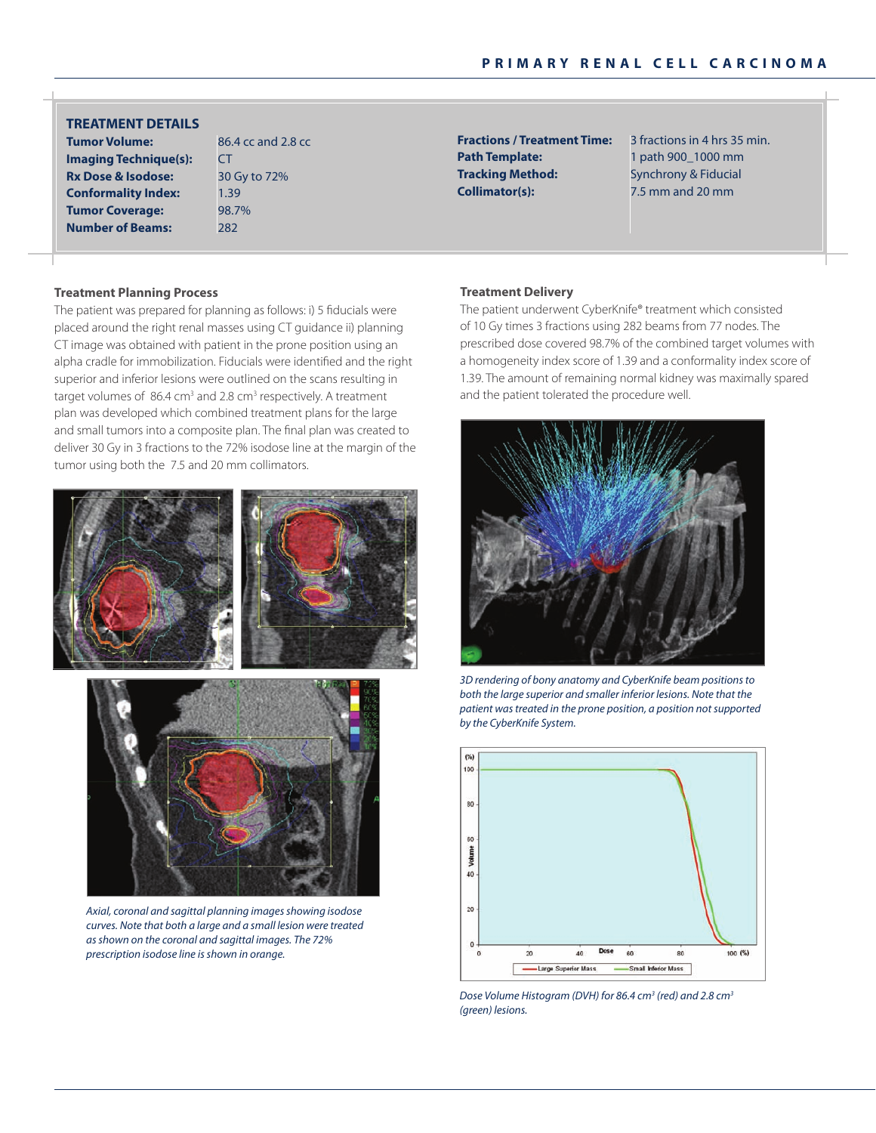**Tumor Volume:** 86.4 cc and 2.8 cc **imaging Technique(s): CT TreaTmenT DeTailS**

**rx Dose & isodose:** 30 Gy to 72% **Conformality Index:** 1.39 **Tumor Coverage:** 98.7% **number of Beams:** 282

**Path Template:** 1 path 900\_1000 mm **Tracking Method:** Synchrony & Fiducial **collimator(s):** 7.5 mm and 20 mm

**Fractions / Treatment Time:** 3 fractions in 4 hrs 35 min.

#### **Treatment planning process**

The patient was prepared for planning as follows: i) 5 fiducials were placed around the right renal masses using CT guidance ii) planning CT image was obtained with patient in the prone position using an alpha cradle for immobilization. Fiducials were identified and the right superior and inferior lesions were outlined on the scans resulting in target volumes of 86.4 cm<sup>3</sup> and 2.8 cm<sup>3</sup> respectively. A treatment plan was developed which combined treatment plans for the large and small tumors into a composite plan. The final plan was created to deliver 30 Gy in 3 fractions to the 72% isodose line at the margin of the tumor using both the 7.5 and 20 mm collimators.





*Axial, coronal and sagittal planning images showing isodose curves. Note that both a large and a small lesion were treated as shown on the coronal and sagittal images. The 72% prescription isodose line is shown in orange.*

#### **Treatment Delivery**

The patient underwent CyberKnife® treatment which consisted of 10 Gy times 3 fractions using 282 beams from 77 nodes. The prescribed dose covered 98.7% of the combined target volumes with a homogeneity index score of 1.39 and a conformality index score of 1.39. The amount of remaining normal kidney was maximally spared and the patient tolerated the procedure well.



*3D rendering of bony anatomy and CyberKnife beam positions to both the large superior and smaller inferior lesions. Note that the patient was treated in the prone position, a position not supported by the CyberKnife System.*



*Dose Volume Histogram (DVH) for 86.4 cm3 (red) and 2.8 cm3 (green) lesions.*